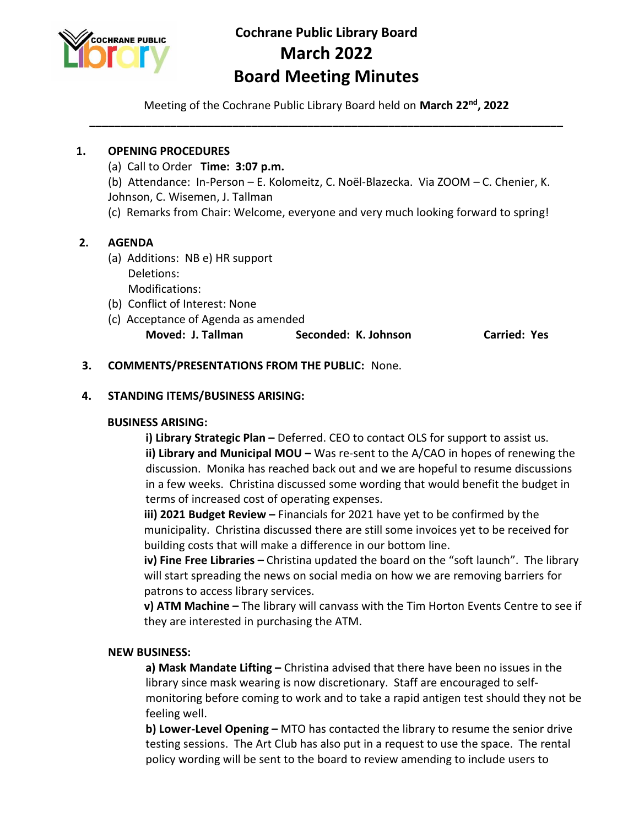

# **Cochrane Public Library Board March 2022 Board Meeting Minutes**

Meeting of the Cochrane Public Library Board held on **March 22 nd, 2022 \_\_\_\_\_\_\_\_\_\_\_\_\_\_\_\_\_\_\_\_\_\_\_\_\_\_\_\_\_\_\_\_\_\_\_\_\_\_\_\_\_\_\_\_\_\_\_\_\_\_\_\_\_\_\_\_\_\_\_\_\_\_\_\_\_\_\_\_\_\_\_\_\_\_\_\_**

### **1. OPENING PROCEDURES**

(a) Call to Order **Time: 3:07 p.m.**

(b) Attendance: In-Person – E. Kolomeitz, C. Noël-Blazecka. Via ZOOM – C. Chenier, K. Johnson, C. Wisemen, J. Tallman

(c) Remarks from Chair: Welcome, everyone and very much looking forward to spring!

## **2. AGENDA**

- (a) Additions: NB e) HR support Deletions: Modifications:
- (b) Conflict of Interest: None
- (c) Acceptance of Agenda as amended **Moved: J. Tallman Seconded: K. Johnson Carried: Yes**

#### **3. COMMENTS/PRESENTATIONS FROM THE PUBLIC:** None.

#### **4. STANDING ITEMS/BUSINESS ARISING:**

#### **BUSINESS ARISING:**

**i) Library Strategic Plan –** Deferred. CEO to contact OLS for support to assist us. **ii) Library and Municipal MOU –** Was re-sent to the A/CAO in hopes of renewing the discussion. Monika has reached back out and we are hopeful to resume discussions in a few weeks. Christina discussed some wording that would benefit the budget in terms of increased cost of operating expenses.

**iii) 2021 Budget Review –** Financials for 2021 have yet to be confirmed by the municipality. Christina discussed there are still some invoices yet to be received for building costs that will make a difference in our bottom line.

**iv) Fine Free Libraries –** Christina updated the board on the "soft launch". The library will start spreading the news on social media on how we are removing barriers for patrons to access library services.

**v) ATM Machine –** The library will canvass with the Tim Horton Events Centre to see if they are interested in purchasing the ATM.

#### **NEW BUSINESS:**

**a) Mask Mandate Lifting –** Christina advised that there have been no issues in the library since mask wearing is now discretionary. Staff are encouraged to selfmonitoring before coming to work and to take a rapid antigen test should they not be feeling well.

**b) Lower-Level Opening –** MTO has contacted the library to resume the senior drive testing sessions. The Art Club has also put in a request to use the space. The rental policy wording will be sent to the board to review amending to include users to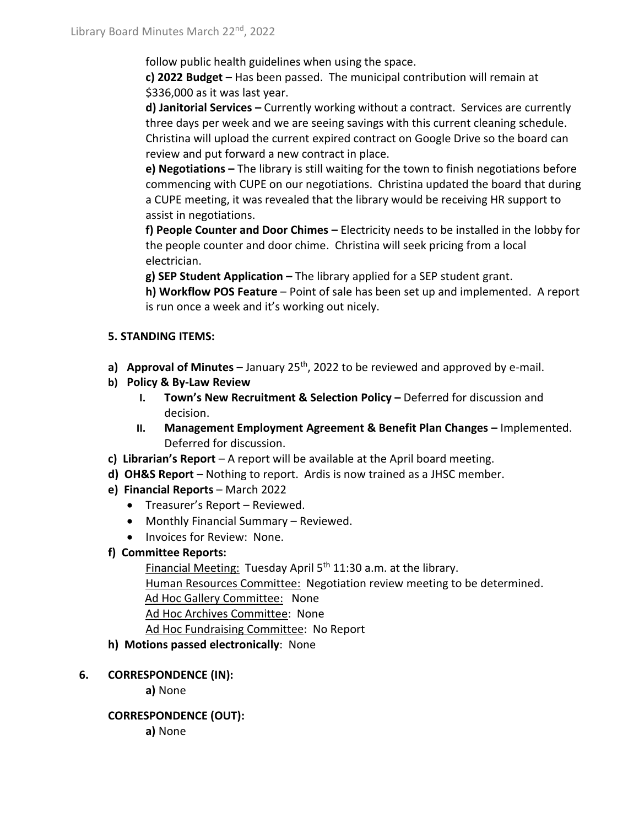follow public health guidelines when using the space.

**c) 2022 Budget** – Has been passed. The municipal contribution will remain at \$336,000 as it was last year.

**d) Janitorial Services –** Currently working without a contract. Services are currently three days per week and we are seeing savings with this current cleaning schedule. Christina will upload the current expired contract on Google Drive so the board can review and put forward a new contract in place.

**e) Negotiations –** The library is still waiting for the town to finish negotiations before commencing with CUPE on our negotiations. Christina updated the board that during a CUPE meeting, it was revealed that the library would be receiving HR support to assist in negotiations.

**f) People Counter and Door Chimes –** Electricity needs to be installed in the lobby for the people counter and door chime. Christina will seek pricing from a local electrician.

**g) SEP Student Application –** The library applied for a SEP student grant.

**h) Workflow POS Feature** – Point of sale has been set up and implemented. A report is run once a week and it's working out nicely.

#### **5. STANDING ITEMS:**

- a) Approval of Minutes January 25<sup>th</sup>, 2022 to be reviewed and approved by e-mail.
- **b) Policy & By-Law Review**
	- **I. Town's New Recruitment & Selection Policy –** Deferred for discussion and decision.
	- **II. Management Employment Agreement & Benefit Plan Changes –** Implemented. Deferred for discussion.
- **c) Librarian's Report** A report will be available at the April board meeting.
- **d) OH&S Report**  Nothing to report. Ardis is now trained as a JHSC member.
- **e) Financial Reports** March 2022
	- Treasurer's Report Reviewed.
	- Monthly Financial Summary Reviewed.
	- Invoices for Review: None.

# **f) Committee Reports:**

Financial Meeting: Tuesday April 5<sup>th</sup> 11:30 a.m. at the library. Human Resources Committee: Negotiation review meeting to be determined. Ad Hoc Gallery Committee: None Ad Hoc Archives Committee: None Ad Hoc Fundraising Committee: No Report

**h) Motions passed electronically**: None

# **6. CORRESPONDENCE (IN):**

**a)** None

# **CORRESPONDENCE (OUT):**

**a)** None